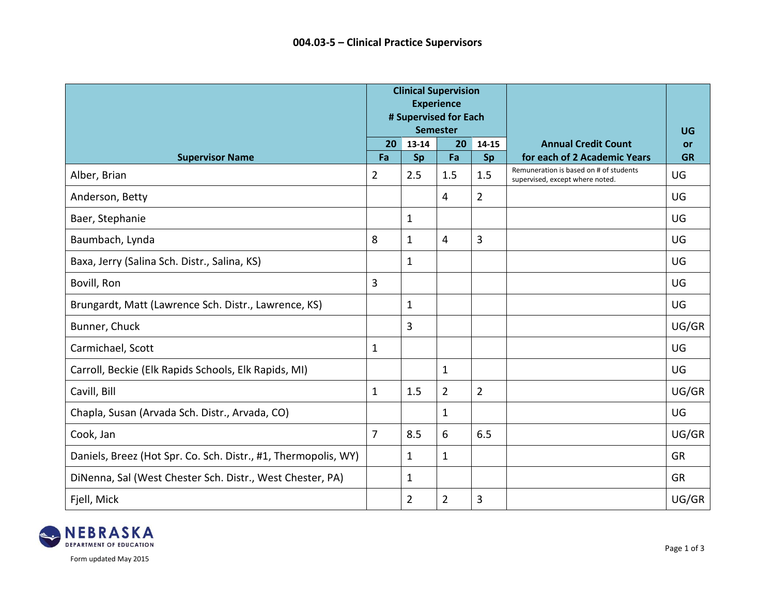|                                                                | <b>Clinical Supervision</b><br><b>Experience</b><br># Supervised for Each<br><b>Semester</b> |                |                |                |                                                                           | UG                     |
|----------------------------------------------------------------|----------------------------------------------------------------------------------------------|----------------|----------------|----------------|---------------------------------------------------------------------------|------------------------|
| <b>Supervisor Name</b>                                         | 20<br>Fa                                                                                     | 13-14<br>Sp    | 20<br>Fa       | 14-15<br>Sp    | <b>Annual Credit Count</b><br>for each of 2 Academic Years                | <b>or</b><br><b>GR</b> |
| Alber, Brian                                                   | $\overline{2}$                                                                               | 2.5            | 1.5            | 1.5            | Remuneration is based on # of students<br>supervised, except where noted. | UG                     |
| Anderson, Betty                                                |                                                                                              |                | 4              | $\overline{2}$ |                                                                           | UG                     |
| Baer, Stephanie                                                |                                                                                              | $\mathbf{1}$   |                |                |                                                                           | UG                     |
| Baumbach, Lynda                                                | 8                                                                                            | $\mathbf{1}$   | 4              | 3              |                                                                           | UG                     |
| Baxa, Jerry (Salina Sch. Distr., Salina, KS)                   |                                                                                              | $\mathbf{1}$   |                |                |                                                                           | UG                     |
| Bovill, Ron                                                    | 3                                                                                            |                |                |                |                                                                           | UG                     |
| Brungardt, Matt (Lawrence Sch. Distr., Lawrence, KS)           |                                                                                              | $\mathbf{1}$   |                |                |                                                                           | UG                     |
| Bunner, Chuck                                                  |                                                                                              | 3              |                |                |                                                                           | UG/GR                  |
| Carmichael, Scott                                              | 1                                                                                            |                |                |                |                                                                           | UG                     |
| Carroll, Beckie (Elk Rapids Schools, Elk Rapids, MI)           |                                                                                              |                | $\mathbf{1}$   |                |                                                                           | UG                     |
| Cavill, Bill                                                   | $\mathbf{1}$                                                                                 | 1.5            | $\overline{2}$ | $\overline{2}$ |                                                                           | UG/GR                  |
| Chapla, Susan (Arvada Sch. Distr., Arvada, CO)                 |                                                                                              |                | $\mathbf{1}$   |                |                                                                           | UG                     |
| Cook, Jan                                                      | $\overline{7}$                                                                               | 8.5            | 6              | 6.5            |                                                                           | UG/GR                  |
| Daniels, Breez (Hot Spr. Co. Sch. Distr., #1, Thermopolis, WY) |                                                                                              | $\mathbf{1}$   | $\mathbf{1}$   |                |                                                                           | <b>GR</b>              |
| DiNenna, Sal (West Chester Sch. Distr., West Chester, PA)      |                                                                                              | $\mathbf{1}$   |                |                |                                                                           | <b>GR</b>              |
| Fjell, Mick                                                    |                                                                                              | $\overline{2}$ | $\overline{2}$ | 3              |                                                                           | UG/GR                  |



Form updated May 2015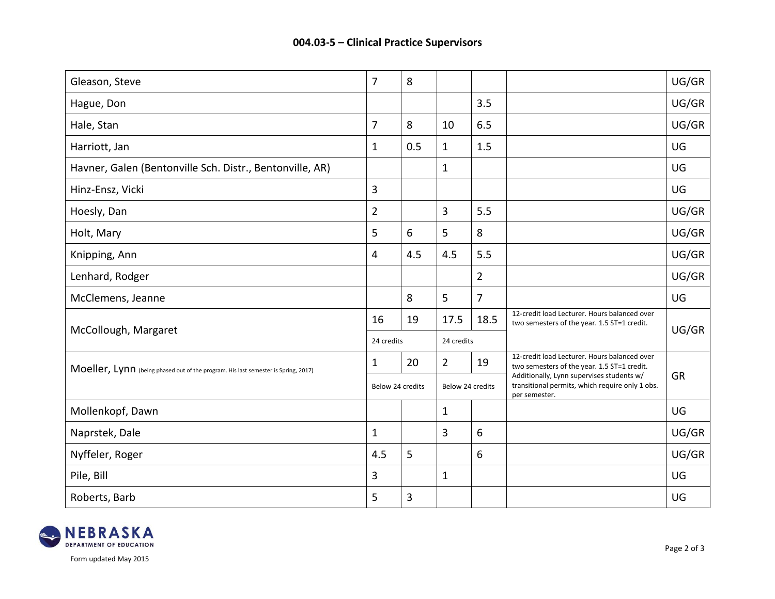| Gleason, Steve                                                                     | $\overline{7}$ | 8                |                |                  |                                                                                                               | UG/GR     |
|------------------------------------------------------------------------------------|----------------|------------------|----------------|------------------|---------------------------------------------------------------------------------------------------------------|-----------|
| Hague, Don                                                                         |                |                  |                | 3.5              |                                                                                                               | UG/GR     |
| Hale, Stan                                                                         | 7              | 8                | 10             | 6.5              |                                                                                                               | UG/GR     |
| Harriott, Jan                                                                      | $\mathbf{1}$   | 0.5              | $\mathbf{1}$   | 1.5              |                                                                                                               | UG        |
| Havner, Galen (Bentonville Sch. Distr., Bentonville, AR)                           |                |                  | $\mathbf{1}$   |                  |                                                                                                               | UG        |
| Hinz-Ensz, Vicki                                                                   | 3              |                  |                |                  |                                                                                                               | UG        |
| Hoesly, Dan                                                                        | $\overline{2}$ |                  | 3              | 5.5              |                                                                                                               | UG/GR     |
| Holt, Mary                                                                         | 5              | 6                | 5              | 8                |                                                                                                               | UG/GR     |
| Knipping, Ann                                                                      | 4              | 4.5              | 4.5            | 5.5              |                                                                                                               | UG/GR     |
| Lenhard, Rodger                                                                    |                |                  |                | $\overline{2}$   |                                                                                                               | UG/GR     |
| McClemens, Jeanne                                                                  |                | 8                | 5              | $\overline{7}$   |                                                                                                               | UG        |
|                                                                                    | 16             | 19               | 17.5           | 18.5             | 12-credit load Lecturer. Hours balanced over<br>two semesters of the year. 1.5 ST=1 credit.                   |           |
| McCollough, Margaret                                                               |                | 24 credits       |                | 24 credits       |                                                                                                               | UG/GR     |
| Moeller, Lynn (being phased out of the program. His last semester is Spring, 2017) | $\mathbf{1}$   | 20               | $\overline{2}$ | 19               | 12-credit load Lecturer. Hours balanced over<br>two semesters of the year. 1.5 ST=1 credit.                   |           |
|                                                                                    |                | Below 24 credits |                | Below 24 credits | Additionally, Lynn supervises students w/<br>transitional permits, which require only 1 obs.<br>per semester. | <b>GR</b> |
| Mollenkopf, Dawn                                                                   |                |                  | $\mathbf{1}$   |                  |                                                                                                               | UG        |
| Naprstek, Dale                                                                     | $\mathbf{1}$   |                  | 3              | 6                |                                                                                                               | UG/GR     |
| Nyffeler, Roger                                                                    | 4.5            | 5                |                | 6                |                                                                                                               | UG/GR     |
| Pile, Bill                                                                         | 3              |                  | $\mathbf{1}$   |                  |                                                                                                               | UG        |
| Roberts, Barb                                                                      | 5              | 3                |                |                  |                                                                                                               | UG        |



Form updated May 2015